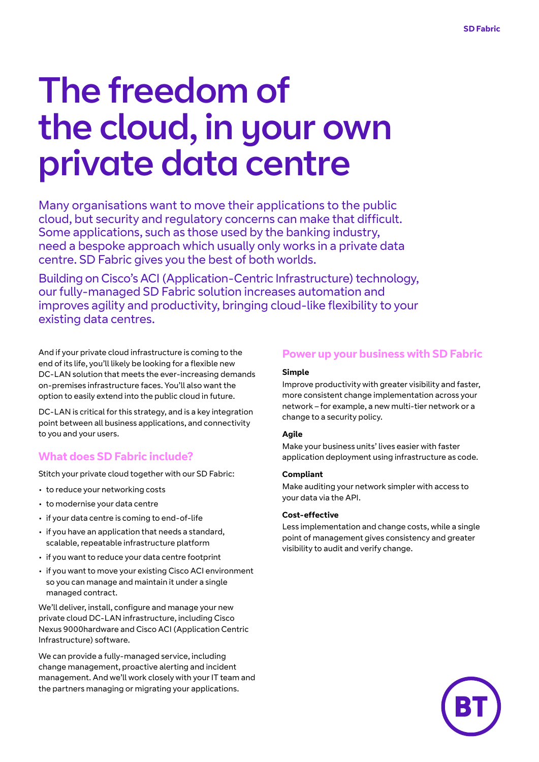# The freedom of the cloud, in your own private data centre

Many organisations want to move their applications to the public cloud, but security and regulatory concerns can make that difficult. Some applications, such as those used by the banking industry, need a bespoke approach which usually only works in a private data centre. SD Fabric gives you the best of both worlds.

Building on Cisco's ACI (Application-Centric Infrastructure) technology, our fully-managed SD Fabric solution increases automation and improves agility and productivity, bringing cloud-like flexibility to your existing data centres.

And if your private cloud infrastructure is coming to the end of its life, you'll likely be looking for a flexible new DC-LAN solution that meets the ever-increasing demands on-premises infrastructure faces. You'll also want the option to easily extend into the public cloud in future.

DC-LAN is critical for this strategy, and is a key integration point between all business applications, and connectivity to you and your users.

# **What does SD Fabric include?**

Stitch your private cloud together with our SD Fabric:

- to reduce your networking costs
- to modernise your data centre
- if your data centre is coming to end-of-life
- if you have an application that needs a standard, scalable, repeatable infrastructure platform
- if you want to reduce your data centre footprint
- if you want to move your existing Cisco ACI environment so you can manage and maintain it under a single managed contract.

We'll deliver, install, configure and manage your new private cloud DC-LAN infrastructure, including Cisco Nexus 9000hardware and Cisco ACI (Application Centric Infrastructure) software.

We can provide a fully-managed service, including change management, proactive alerting and incident management. And we'll work closely with your IT team and the partners managing or migrating your applications.

# **Power up your business with SD Fabric**

#### **Simple**

Improve productivity with greater visibility and faster, more consistent change implementation across your network – for example, a new multi-tier network or a change to a security policy.

#### **Agile**

Make your business units' lives easier with faster application deployment using infrastructure as code.

#### **Compliant**

Make auditing your network simpler with access to your data via the API.

#### **Cost-effective**

Less implementation and change costs, while a single point of management gives consistency and greater visibility to audit and verify change.